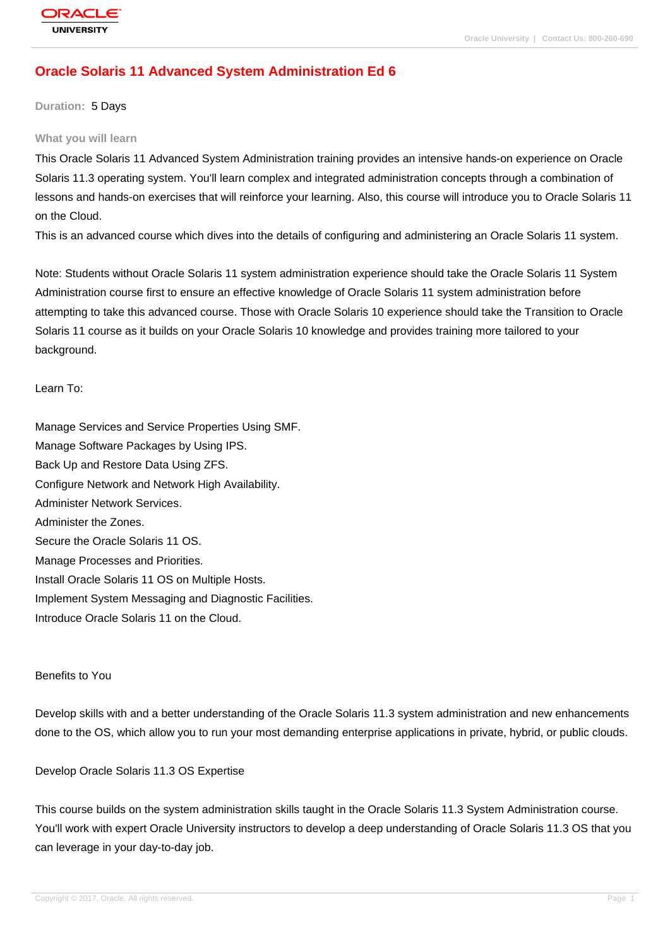# **[Oracle Solaris](http://education.oracle.com/pls/web_prod-plq-dad/db_pages.getpage?page_id=3) 11 Advanced System Administration Ed 6**

#### **Duration:** 5 Days

#### **What you will learn**

This Oracle Solaris 11 Advanced System Administration training provides an intensive hands-on experience on Oracle Solaris 11.3 operating system. You'll learn complex and integrated administration concepts through a combination of lessons and hands-on exercises that will reinforce your learning. Also, this course will introduce you to Oracle Solaris 11 on the Cloud.

This is an advanced course which dives into the details of configuring and administering an Oracle Solaris 11 system.

Note: Students without Oracle Solaris 11 system administration experience should take the Oracle Solaris 11 System Administration course first to ensure an effective knowledge of Oracle Solaris 11 system administration before attempting to take this advanced course. Those with Oracle Solaris 10 experience should take the Transition to Oracle Solaris 11 course as it builds on your Oracle Solaris 10 knowledge and provides training more tailored to your background.

#### Learn To:

Manage Services and Service Properties Using SMF. Manage Software Packages by Using IPS. Back Up and Restore Data Using ZFS. Configure Network and Network High Availability. Administer Network Services. Administer the Zones. Secure the Oracle Solaris 11 OS. Manage Processes and Priorities. Install Oracle Solaris 11 OS on Multiple Hosts. Implement System Messaging and Diagnostic Facilities. Introduce Oracle Solaris 11 on the Cloud.

#### Benefits to You

Develop skills with and a better understanding of the Oracle Solaris 11.3 system administration and new enhancements done to the OS, which allow you to run your most demanding enterprise applications in private, hybrid, or public clouds.

#### Develop Oracle Solaris 11.3 OS Expertise

This course builds on the system administration skills taught in the Oracle Solaris 11.3 System Administration course. You'll work with expert Oracle University instructors to develop a deep understanding of Oracle Solaris 11.3 OS that you can leverage in your day-to-day job.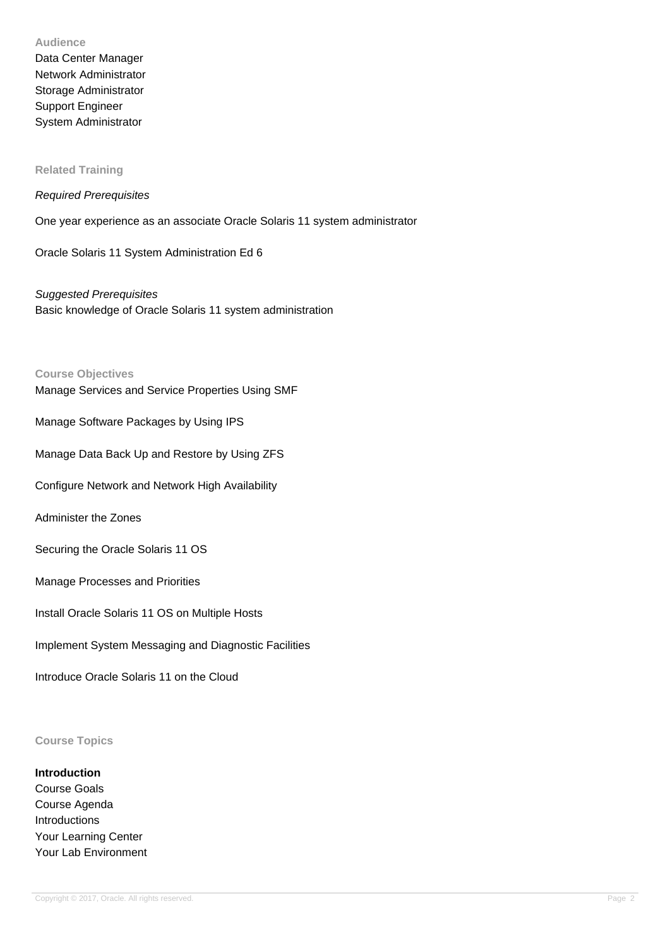#### **Audience**

Data Center Manager Network Administrator Storage Administrator Support Engineer System Administrator

### **Related Training**

#### Required Prerequisites

One year experience as an associate Oracle Solaris 11 system administrator

Oracle Solaris 11 System Administration Ed 6

Suggested Prerequisites Basic knowledge of Oracle Solaris 11 system administration

#### **Course Objectives**

Manage Services and Service Properties Using SMF

Manage Software Packages by Using IPS

Manage Data Back Up and Restore by Using ZFS

Configure Network and Network High Availability

Administer the Zones

Securing the Oracle Solaris 11 OS

Manage Processes and Priorities

Install Oracle Solaris 11 OS on Multiple Hosts

Implement System Messaging and Diagnostic Facilities

Introduce Oracle Solaris 11 on the Cloud

#### **Course Topics**

## **Introduction**

Course Goals Course Agenda Introductions Your Learning Center Your Lab Environment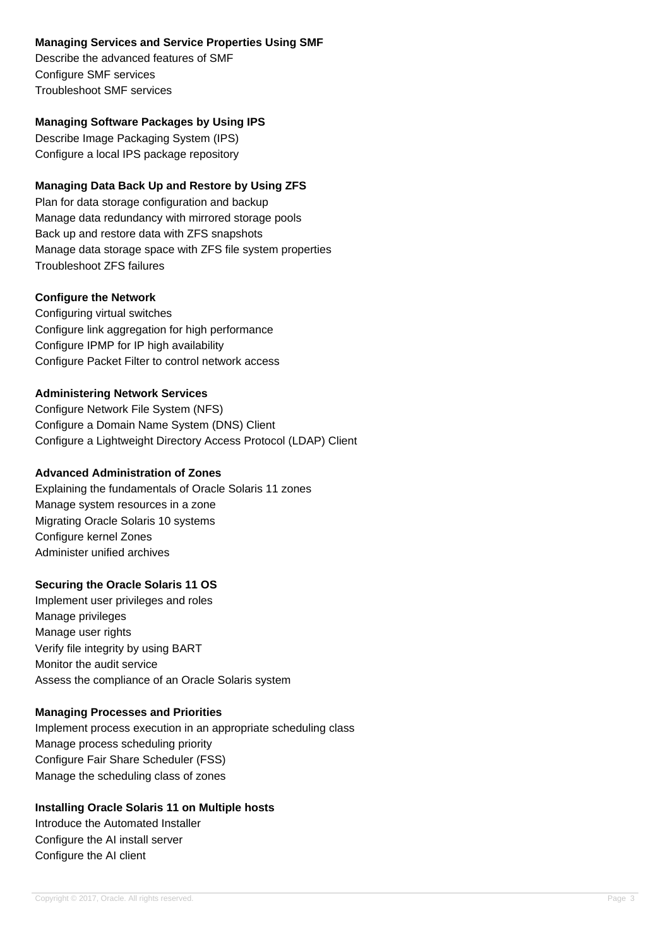## **Managing Services and Service Properties Using SMF**

Describe the advanced features of SMF Configure SMF services Troubleshoot SMF services

# **Managing Software Packages by Using IPS**

Describe Image Packaging System (IPS) Configure a local IPS package repository

# **Managing Data Back Up and Restore by Using ZFS**

Plan for data storage configuration and backup Manage data redundancy with mirrored storage pools Back up and restore data with ZFS snapshots Manage data storage space with ZFS file system properties Troubleshoot ZFS failures

## **Configure the Network**

Configuring virtual switches Configure link aggregation for high performance Configure IPMP for IP high availability Configure Packet Filter to control network access

# **Administering Network Services**

Configure Network File System (NFS) Configure a Domain Name System (DNS) Client Configure a Lightweight Directory Access Protocol (LDAP) Client

# **Advanced Administration of Zones**

Explaining the fundamentals of Oracle Solaris 11 zones Manage system resources in a zone Migrating Oracle Solaris 10 systems Configure kernel Zones Administer unified archives

# **Securing the Oracle Solaris 11 OS**

Implement user privileges and roles Manage privileges Manage user rights Verify file integrity by using BART Monitor the audit service Assess the compliance of an Oracle Solaris system

## **Managing Processes and Priorities**

Implement process execution in an appropriate scheduling class Manage process scheduling priority Configure Fair Share Scheduler (FSS) Manage the scheduling class of zones

## **Installing Oracle Solaris 11 on Multiple hosts**

Introduce the Automated Installer Configure the AI install server Configure the AI client